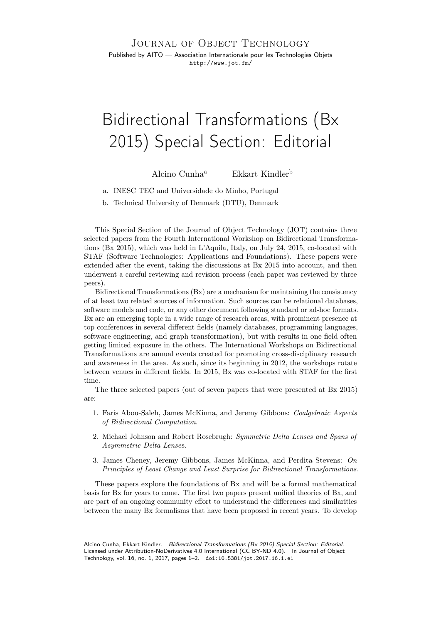JOURNAL OF OBJECT TECHNOLOGY

Published by AITO — Association Internationale pour les Technologies Objets <http://www.jot.fm/>

## Bidirectional Transformations (Bx 2015) Special Section: Editorial

Alcino Cunh[a](#page-0-0)<sup>a</sup> Ekkart Kindler<sup>[b](#page-0-1)</sup>

<span id="page-0-0"></span>a. INESC TEC and Universidade do Minho, Portugal

<span id="page-0-1"></span>b. Technical University of Denmark (DTU), Denmark

This Special Section of the Journal of Object Technology (JOT) contains three selected papers from the Fourth International Workshop on Bidirectional Transformations (Bx 2015), which was held in L'Aquila, Italy, on July 24, 2015, co-located with STAF (Software Technologies: Applications and Foundations). These papers were extended after the event, taking the discussions at Bx 2015 into account, and then underwent a careful reviewing and revision process (each paper was reviewed by three peers).

Bidirectional Transformations (Bx) are a mechanism for maintaining the consistency of at least two related sources of information. Such sources can be relational databases, software models and code, or any other document following standard or ad-hoc formats. Bx are an emerging topic in a wide range of research areas, with prominent presence at top conferences in several different fields (namely databases, programming languages, software engineering, and graph transformation), but with results in one field often getting limited exposure in the others. The International Workshops on Bidirectional Transformations are annual events created for promoting cross-disciplinary research and awareness in the area. As such, since its beginning in 2012, the workshops rotate between venues in different fields. In 2015, Bx was co-located with STAF for the first time.

The three selected papers (out of seven papers that were presented at Bx 2015) are:

- 1. Faris Abou-Saleh, James McKinna, and Jeremy Gibbons: Coalgebraic Aspects of Bidirectional Computation.
- 2. Michael Johnson and Robert Rosebrugh: Symmetric Delta Lenses and Spans of Asymmetric Delta Lenses.
- 3. James Cheney, Jeremy Gibbons, James McKinna, and Perdita Stevens: On Principles of Least Change and Least Surprise for Bidirectional Transformations.

These papers explore the foundations of Bx and will be a formal mathematical basis for Bx for years to come. The first two papers present unified theories of Bx, and are part of an ongoing community effort to understand the differences and similarities between the many Bx formalisms that have been proposed in recent years. To develop

Alcino Cunha, Ekkart Kindler. Bidirectional Transformations (Bx 2015) Special Section: Editorial. Licensed under [Attribution-NoDerivatives 4.0 International \(CC BY-ND 4.0\).](http://creativecommons.org/licenses/by-nd/4.0/) In [Journal of Object](http://dx.doi.org/10.5381/jot.2017.16.1.e1) [Technology, vol. 16, no. 1, 2017,](http://dx.doi.org/10.5381/jot.2017.16.1.e1) pages 1–2. [doi:10.5381/jot.2017.16.1.e1](http://dx.doi.org/10.5381/jot.2017.16.1.e1)